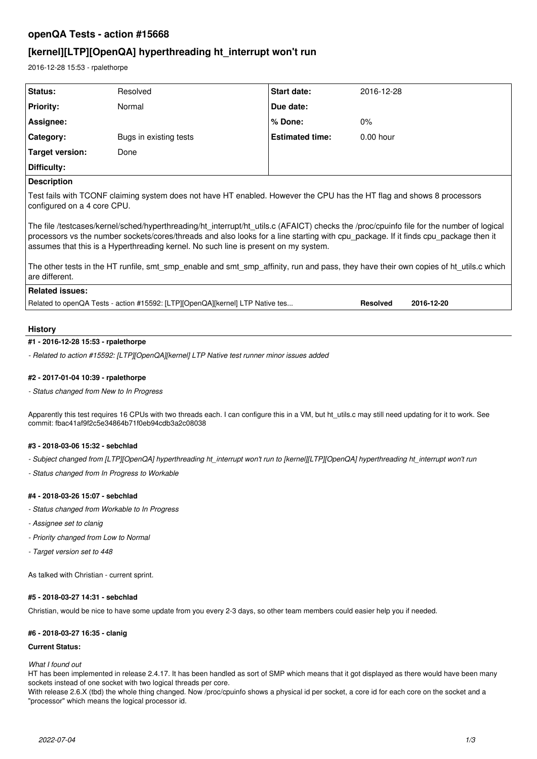# **openQA Tests - action #15668**

# **[kernel][LTP][OpenQA] hyperthreading ht\_interrupt won't run**

2016-12-28 15:53 - rpalethorpe

| Status:          | Resolved               | <b>Start date:</b>     | 2016-12-28  |
|------------------|------------------------|------------------------|-------------|
| <b>Priority:</b> | Normal                 | Due date:              |             |
| Assignee:        |                        | l % Done:              | 0%          |
| Category:        | Bugs in existing tests | <b>Estimated time:</b> | $0.00$ hour |
| Target version:  | Done                   |                        |             |
| Difficulty:      |                        |                        |             |
| _______          |                        |                        |             |

# **Description**

Test fails with TCONF claiming system does not have HT enabled. However the CPU has the HT flag and shows 8 processors configured on a 4 core CPU.

The file /testcases/kernel/sched/hyperthreading/ht\_interrupt/ht\_utils.c (AFAICT) checks the /proc/cpuinfo file for the number of logical processors vs the number sockets/cores/threads and also looks for a line starting with cpu\_package. If it finds cpu\_package then it assumes that this is a Hyperthreading kernel. No such line is present on my system.

The other tests in the HT runfile, smt\_smp\_enable and smt\_smp\_affinity, run and pass, they have their own copies of ht\_utils.c which are different.

# **Related issues:**

Related to openQA Tests - action #15592: [LTP][OpenQA][kernel] LTP Native tes... **Resolved 2016-12-20**

## **History**

#### **#1 - 2016-12-28 15:53 - rpalethorpe**

*- Related to action #15592: [LTP][OpenQA][kernel] LTP Native test runner minor issues added*

### **#2 - 2017-01-04 10:39 - rpalethorpe**

*- Status changed from New to In Progress*

Apparently this test requires 16 CPUs with two threads each. I can configure this in a VM, but ht\_utils.c may still need updating for it to work. See commit: fbac41af9f2c5e34864b71f0eb94cdb3a2c08038

#### **#3 - 2018-03-06 15:32 - sebchlad**

- *Subject changed from [LTP][OpenQA] hyperthreading ht\_interrupt won't run to [kernel][LTP][OpenQA] hyperthreading ht\_interrupt won't run*
- *Status changed from In Progress to Workable*

#### **#4 - 2018-03-26 15:07 - sebchlad**

- *Status changed from Workable to In Progress*
- *Assignee set to clanig*
- *Priority changed from Low to Normal*
- *Target version set to 448*

As talked with Christian - current sprint.

### **#5 - 2018-03-27 14:31 - sebchlad**

Christian, would be nice to have some update from you every 2-3 days, so other team members could easier help you if needed.

#### **#6 - 2018-03-27 16:35 - clanig**

#### **Current Status:**

*What I found out*

HT has been implemented in release 2.4.17. It has been handled as sort of SMP which means that it got displayed as there would have been many sockets instead of one socket with two logical threads per core.

With release 2.6.X (tbd) the whole thing changed. Now /proc/cpuinfo shows a physical id per socket, a core id for each core on the socket and a "processor" which means the logical processor id.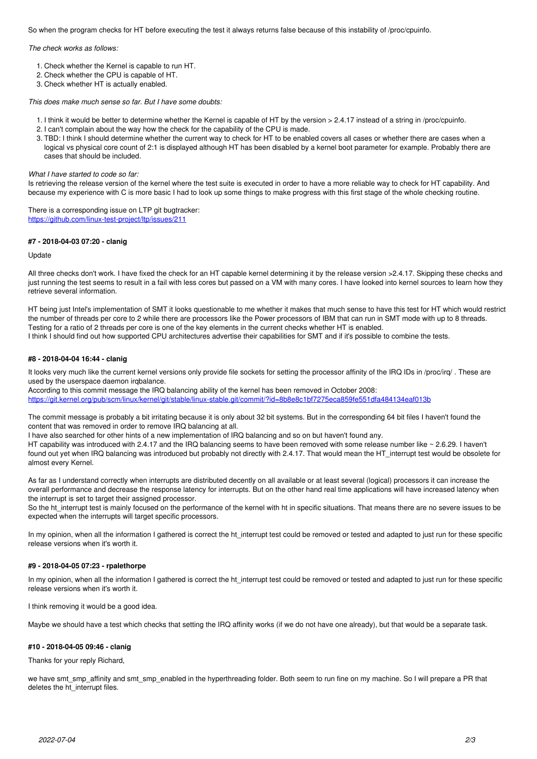So when the program checks for HT before executing the test it always returns false because of this instability of /proc/cpuinfo.

*The check works as follows:*

- 1. Check whether the Kernel is capable to run HT.
- 2. Check whether the CPU is capable of HT.
- 3. Check whether HT is actually enabled.

*This does make much sense so far. But I have some doubts:*

- 1. I think it would be better to determine whether the Kernel is capable of HT by the version > 2.4.17 instead of a string in /proc/cpuinfo.
- 2. I can't complain about the way how the check for the capability of the CPU is made.
- 3. TBD: I think I should determine whether the current way to check for HT to be enabled covers all cases or whether there are cases when a logical vs physical core count of 2:1 is displayed although HT has been disabled by a kernel boot parameter for example. Probably there are cases that should be included.

*What I have started to code so far:*

Is retrieving the release version of the kernel where the test suite is executed in order to have a more reliable way to check for HT capability. And because my experience with C is more basic I had to look up some things to make progress with this first stage of the whole checking routine.

There is a corresponding issue on LTP git bugtracker: <https://github.com/linux-test-project/ltp/issues/211>

#### **#7 - 2018-04-03 07:20 - clanig**

Update

All three checks don't work. I have fixed the check for an HT capable kernel determining it by the release version >2.4.17. Skipping these checks and just running the test seems to result in a fail with less cores but passed on a VM with many cores. I have looked into kernel sources to learn how they retrieve several information.

HT being just Intel's implementation of SMT it looks questionable to me whether it makes that much sense to have this test for HT which would restrict the number of threads per core to 2 while there are processors like the Power processors of IBM that can run in SMT mode with up to 8 threads. Testing for a ratio of 2 threads per core is one of the key elements in the current checks whether HT is enabled. I think I should find out how supported CPU architectures advertise their capabilities for SMT and if it's possible to combine the tests.

#### **#8 - 2018-04-04 16:44 - clanig**

It looks very much like the current kernel versions only provide file sockets for setting the processor affinity of the IRQ IDs in /proc/irq/. These are used by the userspace daemon irqbalance.

According to this commit message the IRQ balancing ability of the kernel has been removed in October 2008: <https://git.kernel.org/pub/scm/linux/kernel/git/stable/linux-stable.git/commit/?id=8b8e8c1bf7275eca859fe551dfa484134eaf013b>

The commit message is probably a bit irritating because it is only about 32 bit systems. But in the corresponding 64 bit files I haven't found the content that was removed in order to remove IRQ balancing at all.

I have also searched for other hints of a new implementation of IRQ balancing and so on but haven't found any.

HT capability was introduced with 2.4.17 and the IRQ balancing seems to have been removed with some release number like ~ 2.6.29. I haven't found out yet when IRQ balancing was introduced but probably not directly with 2.4.17. That would mean the HT\_interrupt test would be obsolete for almost every Kernel.

As far as I understand correctly when interrupts are distributed decently on all available or at least several (logical) processors it can increase the overall performance and decrease the response latency for interrupts. But on the other hand real time applications will have increased latency when the interrupt is set to target their assigned processor.

So the ht\_interrupt test is mainly focused on the performance of the kernel with ht in specific situations. That means there are no severe issues to be expected when the interrupts will target specific processors.

In my opinion, when all the information I gathered is correct the ht\_interrupt test could be removed or tested and adapted to just run for these specific release versions when it's worth it.

### **#9 - 2018-04-05 07:23 - rpalethorpe**

In my opinion, when all the information I gathered is correct the ht\_interrupt test could be removed or tested and adapted to just run for these specific release versions when it's worth it.

I think removing it would be a good idea.

Maybe we should have a test which checks that setting the IRQ affinity works (if we do not have one already), but that would be a separate task.

#### **#10 - 2018-04-05 09:46 - clanig**

Thanks for your reply Richard,

we have smt\_smp\_affinity and smt\_smp\_enabled in the hyperthreading folder. Both seem to run fine on my machine. So I will prepare a PR that deletes the ht\_interrupt files.